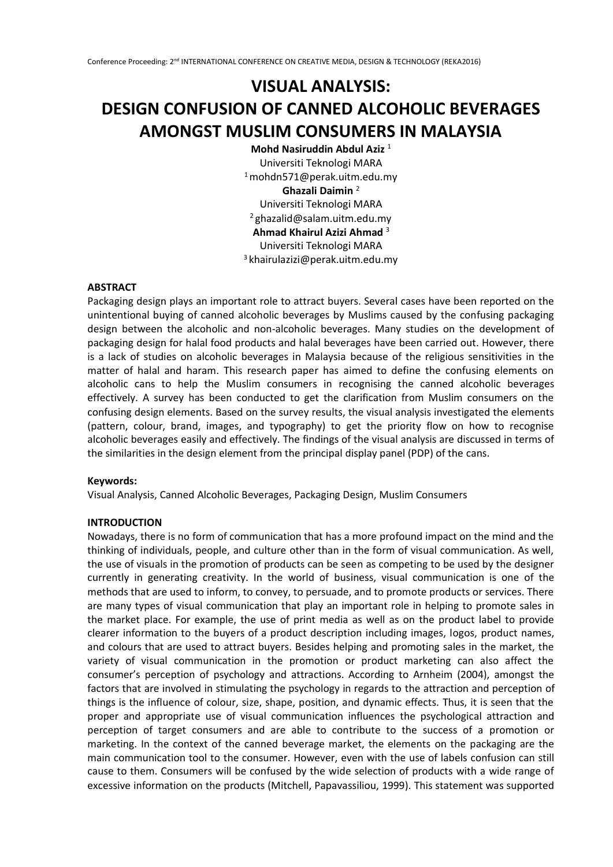# **VISUAL ANALYSIS: DESIGN CONFUSION OF CANNED ALCOHOLIC BEVERAGES AMONGST MUSLIM CONSUMERS IN MALAYSIA**

**Mohd Nasiruddin Abdul Aziz**<sup>1</sup> Universiti Teknologi MARA  $1$ mohdn571@perak.uitm.edu.my **Ghazali Daimin** <sup>2</sup> Universiti Teknologi MARA <sup>2</sup>ghazalid@salam.uitm.edu.my **Ahmad Khairul Azizi Ahmad** <sup>3</sup> Universiti Teknologi MARA <sup>3</sup>khairulazizi@perak.uitm.edu.my

# **ABSTRACT**

Packaging design plays an important role to attract buyers. Several cases have been reported on the unintentional buying of canned alcoholic beverages by Muslims caused by the confusing packaging design between the alcoholic and non-alcoholic beverages. Many studies on the development of packaging design for halal food products and halal beverages have been carried out. However, there is a lack of studies on alcoholic beverages in Malaysia because of the religious sensitivities in the matter of halal and haram. This research paper has aimed to define the confusing elements on alcoholic cans to help the Muslim consumers in recognising the canned alcoholic beverages effectively. A survey has been conducted to get the clarification from Muslim consumers on the confusing design elements. Based on the survey results, the visual analysis investigated the elements (pattern, colour, brand, images, and typography) to get the priority flow on how to recognise alcoholic beverages easily and effectively. The findings of the visual analysis are discussed in terms of the similarities in the design element from the principal display panel (PDP) of the cans.

# **Keywords:**

Visual Analysis, Canned Alcoholic Beverages, Packaging Design, Muslim Consumers

# **INTRODUCTION**

Nowadays, there is no form of communication that has a more profound impact on the mind and the thinking of individuals, people, and culture other than in the form of visual communication. As well, the use of visuals in the promotion of products can be seen as competing to be used by the designer currently in generating creativity. In the world of business, visual communication is one of the methods that are used to inform, to convey, to persuade, and to promote products or services. There are many types of visual communication that play an important role in helping to promote sales in the market place. For example, the use of print media as well as on the product label to provide clearer information to the buyers of a product description including images, logos, product names, and colours that are used to attract buyers. Besides helping and promoting sales in the market, the variety of visual communication in the promotion or product marketing can also affect the consumer's perception of psychology and attractions. According to Arnheim (2004), amongst the factors that are involved in stimulating the psychology in regards to the attraction and perception of things is the influence of colour, size, shape, position, and dynamic effects. Thus, it is seen that the proper and appropriate use of visual communication influences the psychological attraction and perception of target consumers and are able to contribute to the success of a promotion or marketing. In the context of the canned beverage market, the elements on the packaging are the main communication tool to the consumer. However, even with the use of labels confusion can still cause to them. Consumers will be confused by the wide selection of products with a wide range of excessive information on the products (Mitchell, Papavassiliou, 1999). This statement was supported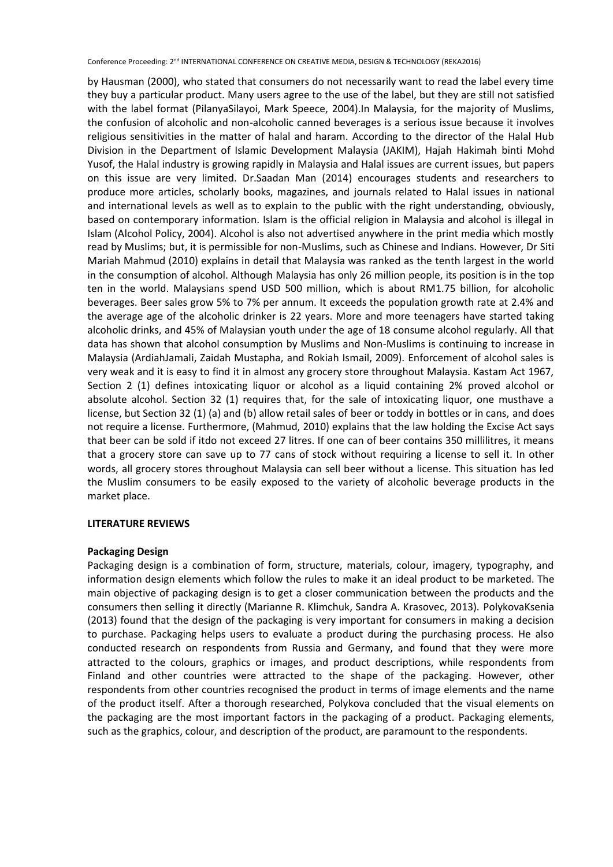by Hausman (2000), who stated that consumers do not necessarily want to read the label every time they buy a particular product. Many users agree to the use of the label, but they are still not satisfied with the label format (PilanyaSilayoi, Mark Speece, 2004).In Malaysia, for the majority of Muslims, the confusion of alcoholic and non-alcoholic canned beverages is a serious issue because it involves religious sensitivities in the matter of halal and haram. According to the director of the Halal Hub Division in the Department of Islamic Development Malaysia (JAKIM), Hajah Hakimah binti Mohd Yusof, the Halal industry is growing rapidly in Malaysia and Halal issues are current issues, but papers on this issue are very limited. Dr.Saadan Man (2014) encourages students and researchers to produce more articles, scholarly books, magazines, and journals related to Halal issues in national and international levels as well as to explain to the public with the right understanding, obviously, based on contemporary information. Islam is the official religion in Malaysia and alcohol is illegal in Islam (Alcohol Policy, 2004). Alcohol is also not advertised anywhere in the print media which mostly read by Muslims; but, it is permissible for non-Muslims, such as Chinese and Indians. However, Dr Siti Mariah Mahmud (2010) explains in detail that Malaysia was ranked as the tenth largest in the world in the consumption of alcohol. Although Malaysia has only 26 million people, its position is in the top ten in the world. Malaysians spend USD 500 million, which is about RM1.75 billion, for alcoholic beverages. Beer sales grow 5% to 7% per annum. It exceeds the population growth rate at 2.4% and the average age of the alcoholic drinker is 22 years. More and more teenagers have started taking alcoholic drinks, and 45% of Malaysian youth under the age of 18 consume alcohol regularly. All that data has shown that alcohol consumption by Muslims and Non-Muslims is continuing to increase in Malaysia (ArdiahJamali, Zaidah Mustapha, and Rokiah Ismail, 2009). Enforcement of alcohol sales is very weak and it is easy to find it in almost any grocery store throughout Malaysia. Kastam Act 1967, Section 2 (1) defines intoxicating liquor or alcohol as a liquid containing 2% proved alcohol or absolute alcohol. Section 32 (1) requires that, for the sale of intoxicating liquor, one musthave a license, but Section 32 (1) (a) and (b) allow retail sales of beer or toddy in bottles or in cans, and does not require a license. Furthermore, (Mahmud, 2010) explains that the law holding the Excise Act says that beer can be sold if itdo not exceed 27 litres. If one can of beer contains 350 millilitres, it means that a grocery store can save up to 77 cans of stock without requiring a license to sell it. In other words, all grocery stores throughout Malaysia can sell beer without a license. This situation has led the Muslim consumers to be easily exposed to the variety of alcoholic beverage products in the market place.

# **LITERATURE REVIEWS**

# **Packaging Design**

Packaging design is a combination of form, structure, materials, colour, imagery, typography, and information design elements which follow the rules to make it an ideal product to be marketed. The main objective of packaging design is to get a closer communication between the products and the consumers then selling it directly (Marianne R. Klimchuk, Sandra A. Krasovec, 2013). PolykovaKsenia (2013) found that the design of the packaging is very important for consumers in making a decision to purchase. Packaging helps users to evaluate a product during the purchasing process. He also conducted research on respondents from Russia and Germany, and found that they were more attracted to the colours, graphics or images, and product descriptions, while respondents from Finland and other countries were attracted to the shape of the packaging. However, other respondents from other countries recognised the product in terms of image elements and the name of the product itself. After a thorough researched, Polykova concluded that the visual elements on the packaging are the most important factors in the packaging of a product. Packaging elements, such as the graphics, colour, and description of the product, are paramount to the respondents.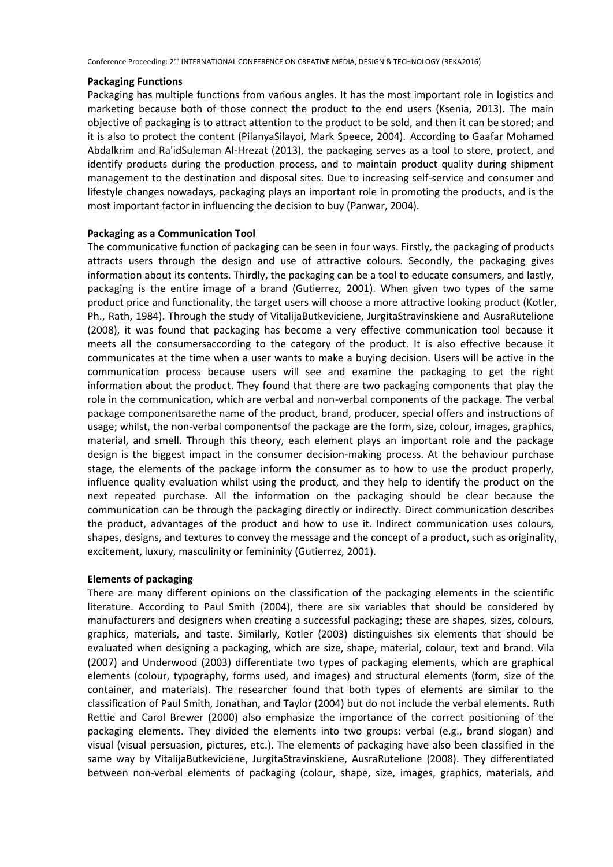#### **Packaging Functions**

Packaging has multiple functions from various angles. It has the most important role in logistics and marketing because both of those connect the product to the end users (Ksenia, 2013). The main objective of packaging is to attract attention to the product to be sold, and then it can be stored; and it is also to protect the content (PilanyaSilayoi, Mark Speece, 2004). According to Gaafar Mohamed Abdalkrim and Ra'idSuleman Al-Hrezat (2013), the packaging serves as a tool to store, protect, and identify products during the production process, and to maintain product quality during shipment management to the destination and disposal sites. Due to increasing self-service and consumer and lifestyle changes nowadays, packaging plays an important role in promoting the products, and is the most important factor in influencing the decision to buy (Panwar, 2004).

# **Packaging as a Communication Tool**

The communicative function of packaging can be seen in four ways. Firstly, the packaging of products attracts users through the design and use of attractive colours. Secondly, the packaging gives information about its contents. Thirdly, the packaging can be a tool to educate consumers, and lastly, packaging is the entire image of a brand (Gutierrez, 2001). When given two types of the same product price and functionality, the target users will choose a more attractive looking product (Kotler, Ph., Rath, 1984). Through the study of VitalijaButkeviciene, JurgitaStravinskiene and AusraRutelione (2008), it was found that packaging has become a very effective communication tool because it meets all the consumersaccording to the category of the product. It is also effective because it communicates at the time when a user wants to make a buying decision. Users will be active in the communication process because users will see and examine the packaging to get the right information about the product. They found that there are two packaging components that play the role in the communication, which are verbal and non-verbal components of the package. The verbal package componentsarethe name of the product, brand, producer, special offers and instructions of usage; whilst, the non-verbal componentsof the package are the form, size, colour, images, graphics, material, and smell. Through this theory, each element plays an important role and the package design is the biggest impact in the consumer decision-making process. At the behaviour purchase stage, the elements of the package inform the consumer as to how to use the product properly, influence quality evaluation whilst using the product, and they help to identify the product on the next repeated purchase. All the information on the packaging should be clear because the communication can be through the packaging directly or indirectly. Direct communication describes the product, advantages of the product and how to use it. Indirect communication uses colours, shapes, designs, and textures to convey the message and the concept of a product, such as originality, excitement, luxury, masculinity or femininity (Gutierrez, 2001).

# **Elements of packaging**

There are many different opinions on the classification of the packaging elements in the scientific literature. According to Paul Smith (2004), there are six variables that should be considered by manufacturers and designers when creating a successful packaging; these are shapes, sizes, colours, graphics, materials, and taste. Similarly, Kotler (2003) distinguishes six elements that should be evaluated when designing a packaging, which are size, shape, material, colour, text and brand. Vila (2007) and Underwood (2003) differentiate two types of packaging elements, which are graphical elements (colour, typography, forms used, and images) and structural elements (form, size of the container, and materials). The researcher found that both types of elements are similar to the classification of Paul Smith, Jonathan, and Taylor (2004) but do not include the verbal elements. Ruth Rettie and Carol Brewer (2000) also emphasize the importance of the correct positioning of the packaging elements. They divided the elements into two groups: verbal (e.g., brand slogan) and visual (visual persuasion, pictures, etc.). The elements of packaging have also been classified in the same way by VitalijaButkeviciene, JurgitaStravinskiene, AusraRutelione (2008). They differentiated between non-verbal elements of packaging (colour, shape, size, images, graphics, materials, and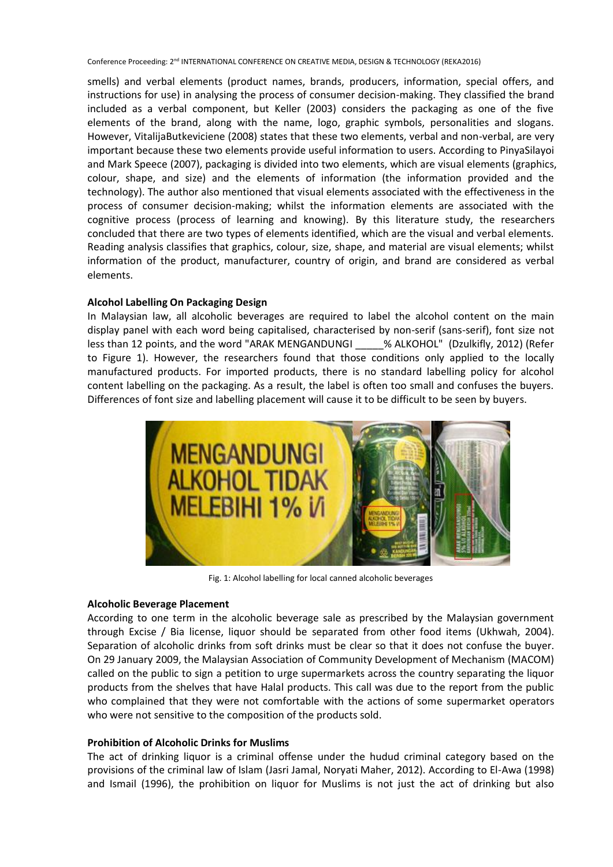smells) and verbal elements (product names, brands, producers, information, special offers, and instructions for use) in analysing the process of consumer decision-making. They classified the brand included as a verbal component, but Keller (2003) considers the packaging as one of the five elements of the brand, along with the name, logo, graphic symbols, personalities and slogans. However, VitalijaButkeviciene (2008) states that these two elements, verbal and non-verbal, are very important because these two elements provide useful information to users. According to PinyaSilayoi and Mark Speece (2007), packaging is divided into two elements, which are visual elements (graphics, colour, shape, and size) and the elements of information (the information provided and the technology). The author also mentioned that visual elements associated with the effectiveness in the process of consumer decision-making; whilst the information elements are associated with the cognitive process (process of learning and knowing). By this literature study, the researchers concluded that there are two types of elements identified, which are the visual and verbal elements. Reading analysis classifies that graphics, colour, size, shape, and material are visual elements; whilst information of the product, manufacturer, country of origin, and brand are considered as verbal elements.

# **Alcohol Labelling On Packaging Design**

In Malaysian law, all alcoholic beverages are required to label the alcohol content on the main display panel with each word being capitalised, characterised by non-serif (sans-serif), font size not less than 12 points, and the word "ARAK MENGANDUNGI % ALKOHOL" (Dzulkifly, 2012) (Refer to Figure 1). However, the researchers found that those conditions only applied to the locally manufactured products. For imported products, there is no standard labelling policy for alcohol content labelling on the packaging. As a result, the label is often too small and confuses the buyers. Differences of font size and labelling placement will cause it to be difficult to be seen by buyers.



Fig. 1: Alcohol labelling for local canned alcoholic beverages

# **Alcoholic Beverage Placement**

According to one term in the alcoholic beverage sale as prescribed by the Malaysian government through Excise / Bia license, liquor should be separated from other food items (Ukhwah, 2004). Separation of alcoholic drinks from soft drinks must be clear so that it does not confuse the buyer. On 29 January 2009, the Malaysian Association of Community Development of Mechanism (MACOM) called on the public to sign a petition to urge supermarkets across the country separating the liquor products from the shelves that have Halal products. This call was due to the report from the public who complained that they were not comfortable with the actions of some supermarket operators who were not sensitive to the composition of the products sold.

# **Prohibition of Alcoholic Drinks for Muslims**

The act of drinking liquor is a criminal offense under the hudud criminal category based on the provisions of the criminal law of Islam (Jasri Jamal, Noryati Maher, 2012). According to El-Awa (1998) and Ismail (1996), the prohibition on liquor for Muslims is not just the act of drinking but also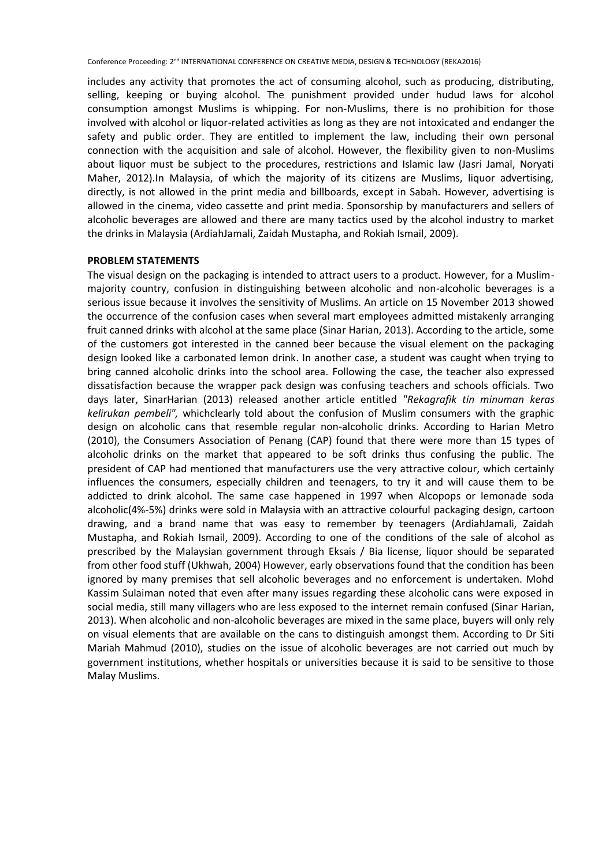includes any activity that promotes the act of consuming alcohol, such as producing, distributing, selling, keeping or buying alcohol. The punishment provided under hudud laws for alcohol consumption amongst Muslims is whipping. For non-Muslims, there is no prohibition for those involved with alcohol or liquor-related activities as long as they are not intoxicated and endanger the safety and public order. They are entitled to implement the law, including their own personal connection with the acquisition and sale of alcohol. However, the flexibility given to non-Muslims about liquor must be subject to the procedures, restrictions and Islamic law (Jasri Jamal, Noryati Maher, 2012).In Malaysia, of which the majority of its citizens are Muslims, liquor advertising, directly, is not allowed in the print media and billboards, except in Sabah. However, advertising is allowed in the cinema, video cassette and print media. Sponsorship by manufacturers and sellers of alcoholic beverages are allowed and there are many tactics used by the alcohol industry to market the drinks in Malaysia (ArdiahJamali, Zaidah Mustapha, and Rokiah Ismail, 2009).

# **PROBLEM STATEMENTS**

The visual design on the packaging is intended to attract users to a product. However, for a Muslimmajority country, confusion in distinguishing between alcoholic and non-alcoholic beverages is a serious issue because it involves the sensitivity of Muslims. An article on 15 November 2013 showed the occurrence of the confusion cases when several mart employees admitted mistakenly arranging fruit canned drinks with alcohol at the same place (Sinar Harian, 2013). According to the article, some of the customers got interested in the canned beer because the visual element on the packaging design looked like a carbonated lemon drink. In another case, a student was caught when trying to bring canned alcoholic drinks into the school area. Following the case, the teacher also expressed dissatisfaction because the wrapper pack design was confusing teachers and schools officials. Two days later, SinarHarian (2013) released another article entitled *"Rekagrafik tin minuman keras kelirukan pembeli",* whichclearly told about the confusion of Muslim consumers with the graphic design on alcoholic cans that resemble regular non-alcoholic drinks. According to Harian Metro (2010), the Consumers Association of Penang (CAP) found that there were more than 15 types of alcoholic drinks on the market that appeared to be soft drinks thus confusing the public. The president of CAP had mentioned that manufacturers use the very attractive colour, which certainly influences the consumers, especially children and teenagers, to try it and will cause them to be addicted to drink alcohol. The same case happened in 1997 when Alcopops or lemonade soda alcoholic(4%-5%) drinks were sold in Malaysia with an attractive colourful packaging design, cartoon drawing, and a brand name that was easy to remember by teenagers (ArdiahJamali, Zaidah Mustapha, and Rokiah Ismail, 2009). According to one of the conditions of the sale of alcohol as prescribed by the Malaysian government through Eksais / Bia license, liquor should be separated from other food stuff (Ukhwah, 2004) However, early observations found that the condition has been ignored by many premises that sell alcoholic beverages and no enforcement is undertaken. Mohd Kassim Sulaiman noted that even after many issues regarding these alcoholic cans were exposed in social media, still many villagers who are less exposed to the internet remain confused (Sinar Harian, 2013). When alcoholic and non-alcoholic beverages are mixed in the same place, buyers will only rely on visual elements that are available on the cans to distinguish amongst them. According to Dr Siti Mariah Mahmud (2010), studies on the issue of alcoholic beverages are not carried out much by government institutions, whether hospitals or universities because it is said to be sensitive to those Malay Muslims.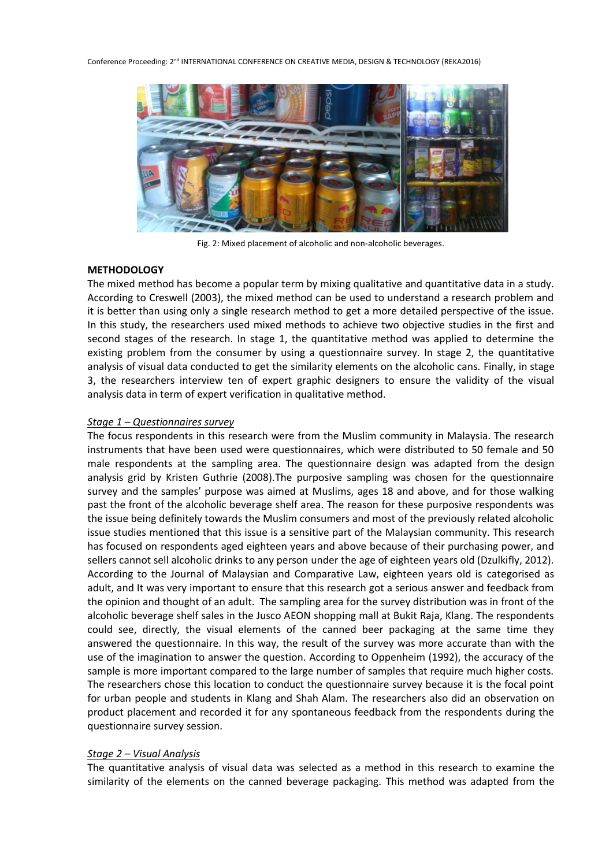

Fig. 2: Mixed placement of alcoholic and non-alcoholic beverages.

# **METHODOLOGY**

The mixed method has become a popular term by mixing qualitative and quantitative data in a study. According to Creswell (2003), the mixed method can be used to understand a research problem and it is better than using only a single research method to get a more detailed perspective of the issue. In this study, the researchers used mixed methods to achieve two objective studies in the first and second stages of the research. In stage 1, the quantitative method was applied to determine the existing problem from the consumer by using a questionnaire survey. In stage 2, the quantitative analysis of visual data conducted to get the similarity elements on the alcoholic cans. Finally, in stage 3, the researchers interview ten of expert graphic designers to ensure the validity of the visual analysis data in term of expert verification in qualitative method.

# *Stage 1 – Questionnaires survey*

The focus respondents in this research were from the Muslim community in Malaysia. The research instruments that have been used were questionnaires, which were distributed to 50 female and 50 male respondents at the sampling area. The questionnaire design was adapted from the design analysis grid by Kristen Guthrie (2008).The purposive sampling was chosen for the questionnaire survey and the samples' purpose was aimed at Muslims, ages 18 and above, and for those walking past the front of the alcoholic beverage shelf area. The reason for these purposive respondents was the issue being definitely towards the Muslim consumers and most of the previously related alcoholic issue studies mentioned that this issue is a sensitive part of the Malaysian community. This research has focused on respondents aged eighteen years and above because of their purchasing power, and sellers cannot sell alcoholic drinks to any person under the age of eighteen years old (Dzulkifly, 2012). According to the Journal of Malaysian and Comparative Law, eighteen years old is categorised as adult, and It was very important to ensure that this research got a serious answer and feedback from the opinion and thought of an adult. The sampling area for the survey distribution was in front of the alcoholic beverage shelf sales in the Jusco AEON shopping mall at Bukit Raja, Klang. The respondents could see, directly, the visual elements of the canned beer packaging at the same time they answered the questionnaire. In this way, the result of the survey was more accurate than with the use of the imagination to answer the question. According to Oppenheim (1992), the accuracy of the sample is more important compared to the large number of samples that require much higher costs. The researchers chose this location to conduct the questionnaire survey because it is the focal point for urban people and students in Klang and Shah Alam. The researchers also did an observation on product placement and recorded it for any spontaneous feedback from the respondents during the questionnaire survey session.

# *Stage 2 – Visual Analysis*

The quantitative analysis of visual data was selected as a method in this research to examine the similarity of the elements on the canned beverage packaging. This method was adapted from the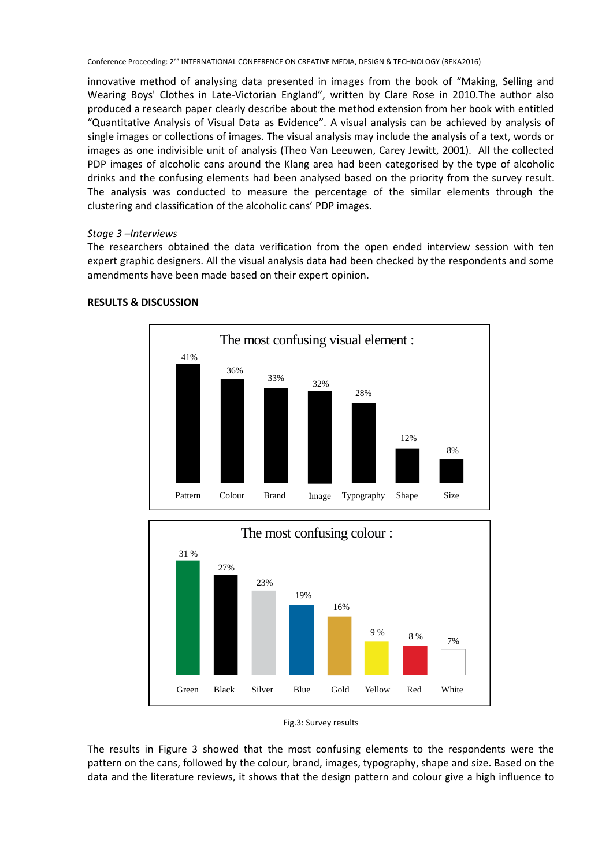innovative method of analysing data presented in images from the book of "Making, Selling and Wearing Boys' Clothes in Late-Victorian England", written by Clare Rose in 2010.The author also produced a research paper clearly describe about the method extension from her book with entitled "Quantitative Analysis of Visual Data as Evidence". A visual analysis can be achieved by analysis of single images or collections of images. The visual analysis may include the analysis of a text, words or images as one indivisible unit of analysis (Theo Van Leeuwen, Carey Jewitt, 2001). All the collected PDP images of alcoholic cans around the Klang area had been categorised by the type of alcoholic drinks and the confusing elements had been analysed based on the priority from the survey result. The analysis was conducted to measure the percentage of the similar elements through the clustering and classification of the alcoholic cans' PDP images.

# *Stage 3 –Interviews*

The researchers obtained the data verification from the open ended interview session with ten expert graphic designers. All the visual analysis data had been checked by the respondents and some amendments have been made based on their expert opinion.



# **RESULTS & DISCUSSION**



Fig.3: Survey results

The results in Figure 3 showed that the most confusing elements to the respondents were the pattern on the cans, followed by the colour, brand, images, typography, shape and size. Based on the data and the literature reviews, it shows that the design pattern and colour give a high influence to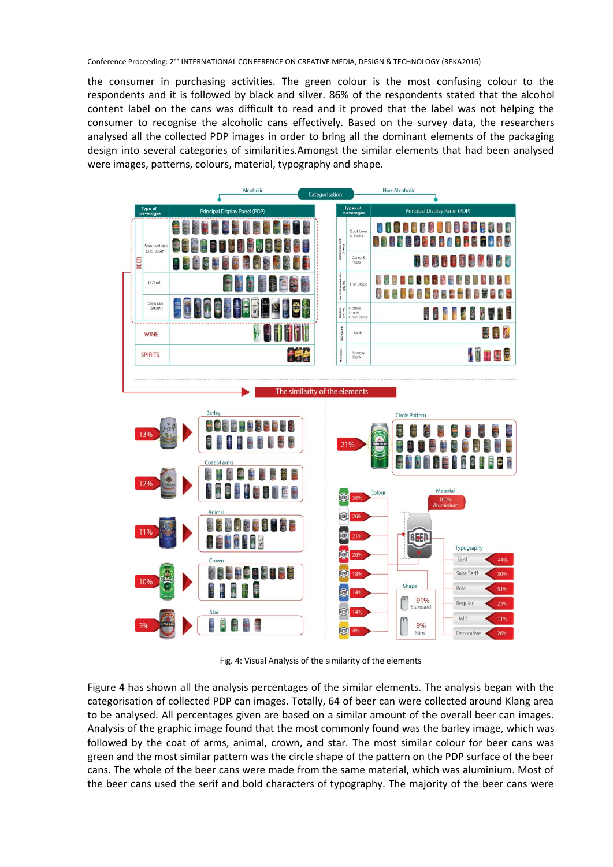the consumer in purchasing activities. The green colour is the most confusing colour to the respondents and it is followed by black and silver. 86% of the respondents stated that the alcohol content label on the cans was difficult to read and it proved that the label was not helping the consumer to recognise the alcoholic cans effectively. Based on the survey data, the researchers analysed all the collected PDP images in order to bring all the dominant elements of the packaging design into several categories of similarities.Amongst the similar elements that had been analysed were images, patterns, colours, material, typography and shape.



Fig. 4: Visual Analysis of the similarity of the elements

Figure 4 has shown all the analysis percentages of the similar elements. The analysis began with the categorisation of collected PDP can images. Totally, 64 of beer can were collected around Klang area to be analysed. All percentages given are based on a similar amount of the overall beer can images. Analysis of the graphic image found that the most commonly found was the barley image, which was followed by the coat of arms, animal, crown, and star. The most similar colour for beer cans was green and the most similar pattern was the circle shape of the pattern on the PDP surface of the beer cans. The whole of the beer cans were made from the same material, which was aluminium. Most of the beer cans used the serif and bold characters of typography. The majority of the beer cans were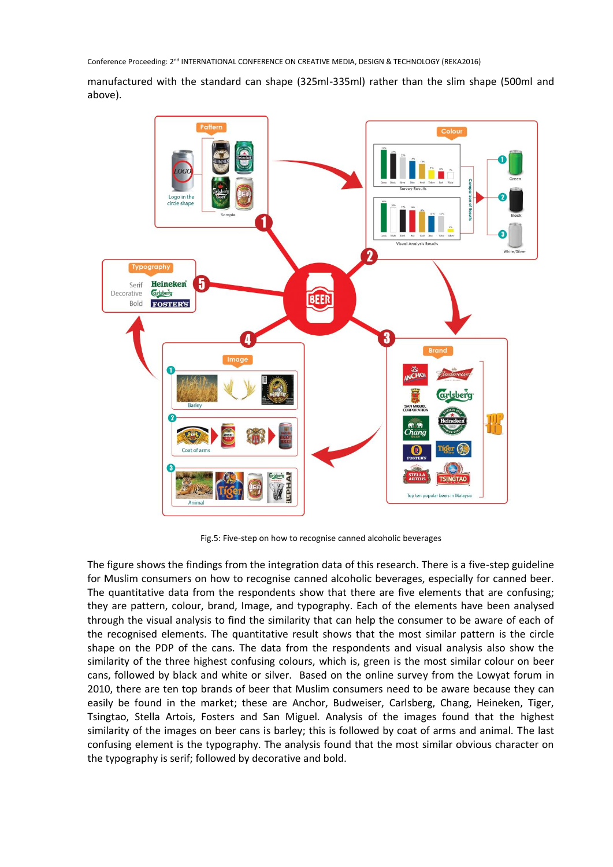manufactured with the standard can shape (325ml-335ml) rather than the slim shape (500ml and above).



Fig.5: Five-step on how to recognise canned alcoholic beverages

The figure shows the findings from the integration data of this research. There is a five-step guideline for Muslim consumers on how to recognise canned alcoholic beverages, especially for canned beer. The quantitative data from the respondents show that there are five elements that are confusing; they are pattern, colour, brand, Image, and typography. Each of the elements have been analysed through the visual analysis to find the similarity that can help the consumer to be aware of each of the recognised elements. The quantitative result shows that the most similar pattern is the circle shape on the PDP of the cans. The data from the respondents and visual analysis also show the similarity of the three highest confusing colours, which is, green is the most similar colour on beer cans, followed by black and white or silver. Based on the online survey from the Lowyat forum in 2010, there are ten top brands of beer that Muslim consumers need to be aware because they can easily be found in the market; these are Anchor, Budweiser, Carlsberg, Chang, Heineken, Tiger, Tsingtao, Stella Artois, Fosters and San Miguel. Analysis of the images found that the highest similarity of the images on beer cans is barley; this is followed by coat of arms and animal. The last confusing element is the typography. The analysis found that the most similar obvious character on the typography is serif; followed by decorative and bold.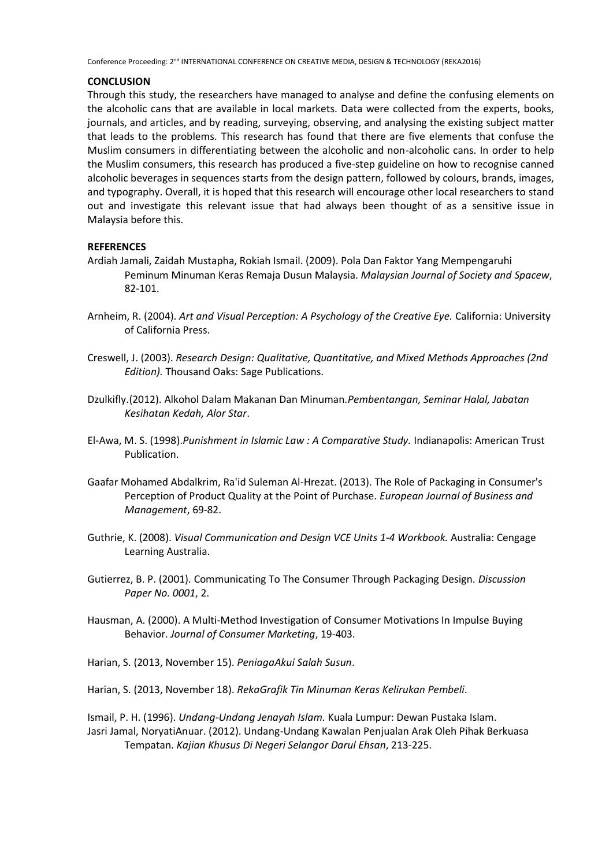# **CONCLUSION**

Through this study, the researchers have managed to analyse and define the confusing elements on the alcoholic cans that are available in local markets. Data were collected from the experts, books, journals, and articles, and by reading, surveying, observing, and analysing the existing subject matter that leads to the problems. This research has found that there are five elements that confuse the Muslim consumers in differentiating between the alcoholic and non-alcoholic cans. In order to help the Muslim consumers, this research has produced a five-step guideline on how to recognise canned alcoholic beverages in sequences starts from the design pattern, followed by colours, brands, images, and typography. Overall, it is hoped that this research will encourage other local researchers to stand out and investigate this relevant issue that had always been thought of as a sensitive issue in Malaysia before this.

# **REFERENCES**

- Ardiah Jamali, Zaidah Mustapha, Rokiah Ismail. (2009). Pola Dan Faktor Yang Mempengaruhi Peminum Minuman Keras Remaja Dusun Malaysia. *Malaysian Journal of Society and Spacew*, 82-101.
- Arnheim, R. (2004). *Art and Visual Perception: A Psychology of the Creative Eye.* California: University of California Press.
- Creswell, J. (2003). *Research Design: Qualitative, Quantitative, and Mixed Methods Approaches (2nd Edition).* Thousand Oaks: Sage Publications.
- Dzulkifly.(2012). Alkohol Dalam Makanan Dan Minuman.*Pembentangan, Seminar Halal, Jabatan Kesihatan Kedah, Alor Star*.
- El-Awa, M. S. (1998).*Punishment in Islamic Law : A Comparative Study.* Indianapolis: American Trust Publication.
- Gaafar Mohamed Abdalkrim, Ra'id Suleman Al-Hrezat. (2013). The Role of Packaging in Consumer's Perception of Product Quality at the Point of Purchase. *European Journal of Business and Management*, 69-82.
- Guthrie, K. (2008). *Visual Communication and Design VCE Units 1-4 Workbook.* Australia: Cengage Learning Australia.
- Gutierrez, B. P. (2001). Communicating To The Consumer Through Packaging Design. *Discussion Paper No. 0001*, 2.
- Hausman, A. (2000). A Multi-Method Investigation of Consumer Motivations In Impulse Buying Behavior. *Journal of Consumer Marketing*, 19-403.
- Harian, S. (2013, November 15). *PeniagaAkui Salah Susun*.
- Harian, S. (2013, November 18). *RekaGrafik Tin Minuman Keras Kelirukan Pembeli*.

Ismail, P. H. (1996). *Undang-Undang Jenayah Islam.* Kuala Lumpur: Dewan Pustaka Islam. Jasri Jamal, NoryatiAnuar. (2012). Undang-Undang Kawalan Penjualan Arak Oleh Pihak Berkuasa Tempatan. *Kajian Khusus Di Negeri Selangor Darul Ehsan*, 213-225.